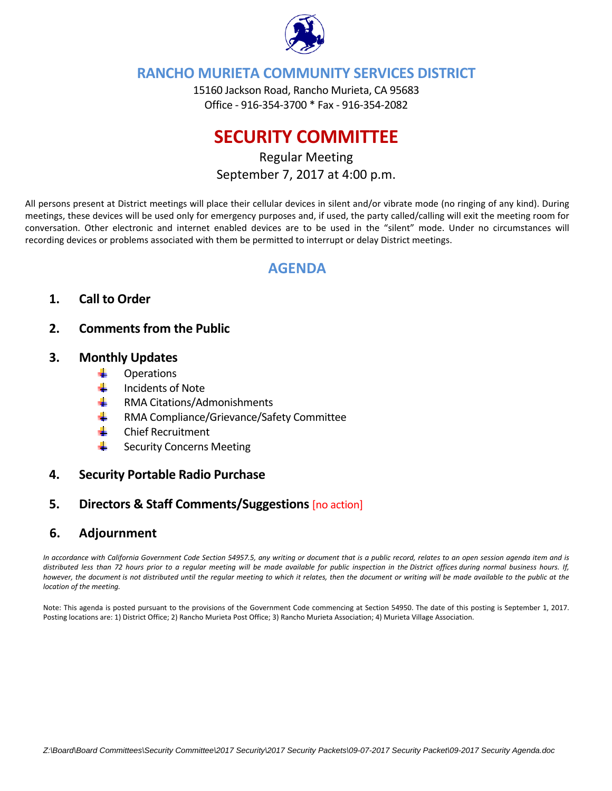

## **RANCHO MURIETA COMMUNITY SERVICES DISTRICT**

15160 Jackson Road, Rancho Murieta, CA 95683 Office ‐ 916‐354‐3700 \* Fax ‐ 916‐354‐2082

# **SECURITY COMMITTEE**

## Regular Meeting September 7, 2017 at 4:00 p.m.

All persons present at District meetings will place their cellular devices in silent and/or vibrate mode (no ringing of any kind). During meetings, these devices will be used only for emergency purposes and, if used, the party called/calling will exit the meeting room for conversation. Other electronic and internet enabled devices are to be used in the "silent" mode. Under no circumstances will recording devices or problems associated with them be permitted to interrupt or delay District meetings.

## **AGENDA**

## **1. Call to Order**

## **2. Comments from the Public**

### **3. Monthly Updates**

- ÷ **Operations**
- de la Incidents of Note
- RMA Citations/Admonishments a ba
- d. RMA Compliance/Grievance/Safety Committee
- ۰. Chief Recruitment
- **. .** Security Concerns Meeting

### **4. Security Portable Radio Purchase**

## **5. Directors & Staff Comments/Suggestions** [no action]

### **6. Adjournment**

In accordance with California Government Code Section 54957.5, any writing or document that is a public record, relates to an open session agenda item and is distributed less than 72 hours prior to a regular meeting will be made available for public inspection in the District offices during normal business hours. If, however, the document is not distributed until the regular meeting to which it relates, then the document or writing will be made available to the public at the *location of the meeting.* 

Note: This agenda is posted pursuant to the provisions of the Government Code commencing at Section 54950. The date of this posting is September 1, 2017. Posting locations are: 1) District Office; 2) Rancho Murieta Post Office; 3) Rancho Murieta Association; 4) Murieta Village Association.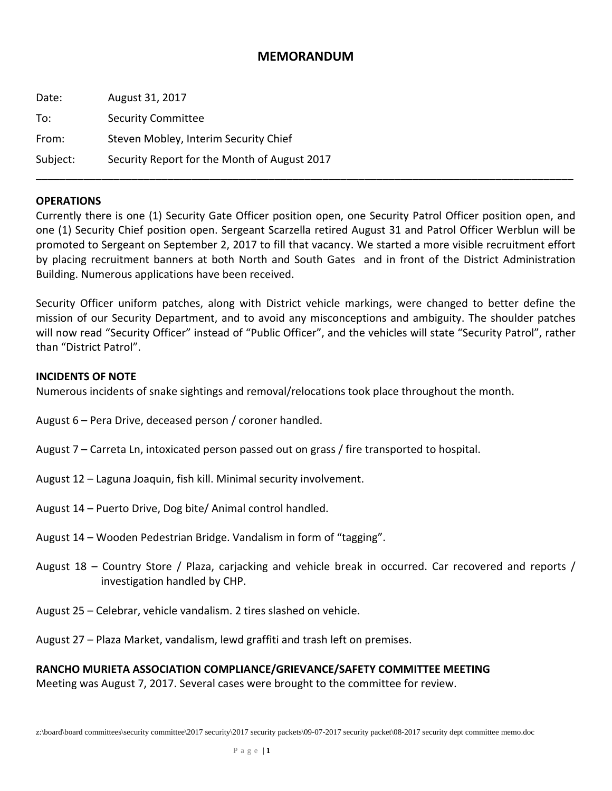## **MEMORANDUM**

| Date:    | August 31, 2017                              |
|----------|----------------------------------------------|
| To:      | <b>Security Committee</b>                    |
| From:    | Steven Mobley, Interim Security Chief        |
| Subject: | Security Report for the Month of August 2017 |

#### **OPERATIONS**

Currently there is one (1) Security Gate Officer position open, one Security Patrol Officer position open, and one (1) Security Chief position open. Sergeant Scarzella retired August 31 and Patrol Officer Werblun will be promoted to Sergeant on September 2, 2017 to fill that vacancy. We started a more visible recruitment effort by placing recruitment banners at both North and South Gates and in front of the District Administration Building. Numerous applications have been received.

\_\_\_\_\_\_\_\_\_\_\_\_\_\_\_\_\_\_\_\_\_\_\_\_\_\_\_\_\_\_\_\_\_\_\_\_\_\_\_\_\_\_\_\_\_\_\_\_\_\_\_\_\_\_\_\_\_\_\_\_\_\_\_\_\_\_\_\_\_\_\_\_\_\_\_\_\_\_\_\_\_\_\_\_\_\_\_\_\_\_

Security Officer uniform patches, along with District vehicle markings, were changed to better define the mission of our Security Department, and to avoid any misconceptions and ambiguity. The shoulder patches will now read "Security Officer" instead of "Public Officer", and the vehicles will state "Security Patrol", rather than "District Patrol".

#### **INCIDENTS OF NOTE**

Numerous incidents of snake sightings and removal/relocations took place throughout the month.

August 6 – Pera Drive, deceased person / coroner handled.

- August 7 Carreta Ln, intoxicated person passed out on grass / fire transported to hospital.
- August 12 Laguna Joaquin, fish kill. Minimal security involvement.
- August 14 Puerto Drive, Dog bite/ Animal control handled.
- August 14 Wooden Pedestrian Bridge. Vandalism in form of "tagging".
- August 18 Country Store / Plaza, carjacking and vehicle break in occurred. Car recovered and reports / investigation handled by CHP.
- August 25 Celebrar, vehicle vandalism. 2 tires slashed on vehicle.
- August 27 Plaza Market, vandalism, lewd graffiti and trash left on premises.

#### **RANCHO MURIETA ASSOCIATION COMPLIANCE/GRIEVANCE/SAFETY COMMITTEE MEETING**

Meeting was August 7, 2017. Several cases were brought to the committee for review.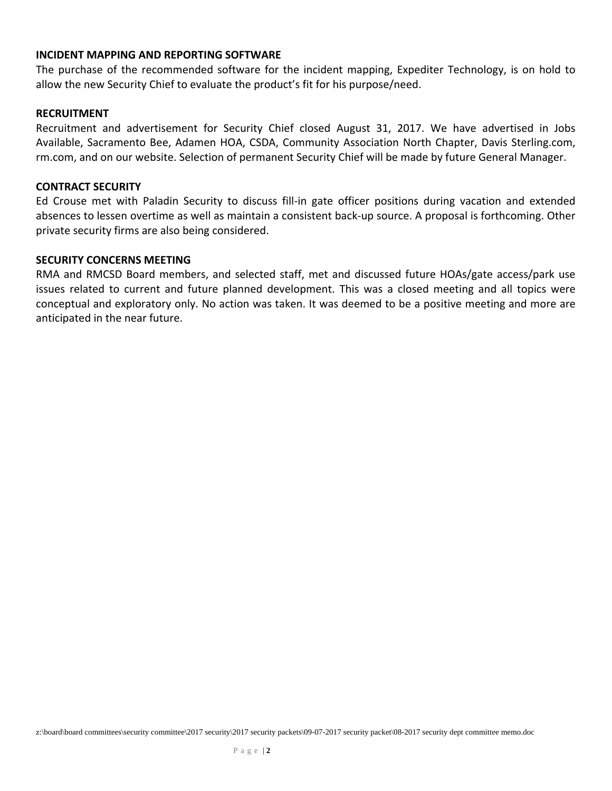#### **INCIDENT MAPPING AND REPORTING SOFTWARE**

The purchase of the recommended software for the incident mapping, Expediter Technology, is on hold to allow the new Security Chief to evaluate the product's fit for his purpose/need.

#### **RECRUITMENT**

Recruitment and advertisement for Security Chief closed August 31, 2017. We have advertised in Jobs Available, Sacramento Bee, Adamen HOA, CSDA, Community Association North Chapter, Davis Sterling.com, rm.com, and on our website. Selection of permanent Security Chief will be made by future General Manager.

#### **CONTRACT SECURITY**

Ed Crouse met with Paladin Security to discuss fill‐in gate officer positions during vacation and extended absences to lessen overtime as well as maintain a consistent back‐up source. A proposal is forthcoming. Other private security firms are also being considered.

#### **SECURITY CONCERNS MEETING**

RMA and RMCSD Board members, and selected staff, met and discussed future HOAs/gate access/park use issues related to current and future planned development. This was a closed meeting and all topics were conceptual and exploratory only. No action was taken. It was deemed to be a positive meeting and more are anticipated in the near future.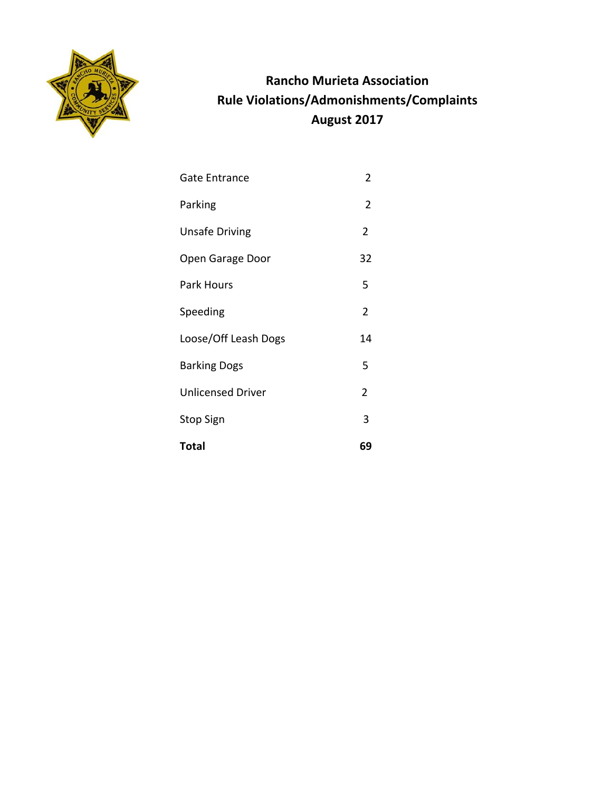

## **Rancho Murieta Association Rule Violations/Admonishments/Complaints August 2017**

- Gate Entrance 2
- Parking 2
- Unsafe Driving 2
- Open Garage Door 32
- Park Hours 5
- Speeding 2
- Loose/Off Leash Dogs 14
- Barking Dogs 5
- Unlicensed Driver 2
- Stop Sign 3
- **Total 69**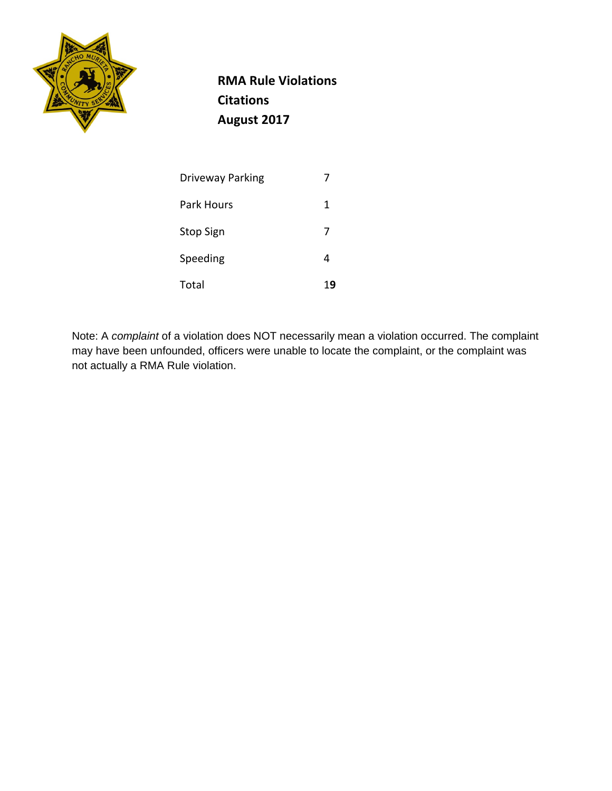

 **RMA Rule Violations Citations August 2017**

| <b>Driveway Parking</b> | 7  |
|-------------------------|----|
| Park Hours              | 1  |
| <b>Stop Sign</b>        | 7  |
| Speeding                | 4  |
| Total                   | 19 |

Note: A *complaint* of a violation does NOT necessarily mean a violation occurred. The complaint may have been unfounded, officers were unable to locate the complaint, or the complaint was not actually a RMA Rule violation.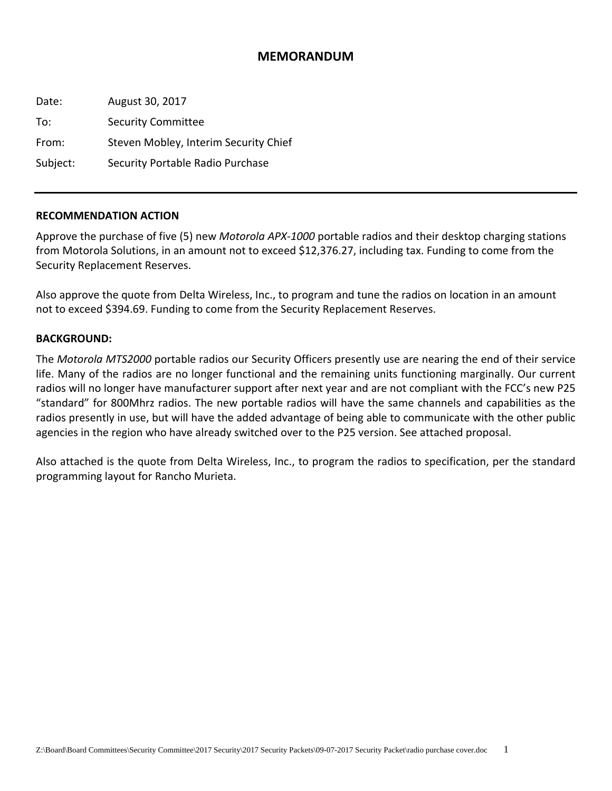## **MEMORANDUM**

Date: August 30, 2017 To: Security Committee From: Steven Mobley, Interim Security Chief Subject: Security Portable Radio Purchase

#### **RECOMMENDATION ACTION**

Approve the purchase of five (5) new *Motorola APX‐1000* portable radios and their desktop charging stations from Motorola Solutions, in an amount not to exceed \$12,376.27, including tax. Funding to come from the Security Replacement Reserves.

Also approve the quote from Delta Wireless, Inc., to program and tune the radios on location in an amount not to exceed \$394.69. Funding to come from the Security Replacement Reserves.

#### **BACKGROUND:**

The *Motorola MTS2000* portable radios our Security Officers presently use are nearing the end of their service life. Many of the radios are no longer functional and the remaining units functioning marginally. Our current radios will no longer have manufacturer support after next year and are not compliant with the FCC's new P25 "standard" for 800Mhrz radios. The new portable radios will have the same channels and capabilities as the radios presently in use, but will have the added advantage of being able to communicate with the other public agencies in the region who have already switched over to the P25 version. See attached proposal.

Also attached is the quote from Delta Wireless, Inc., to program the radios to specification, per the standard programming layout for Rancho Murieta.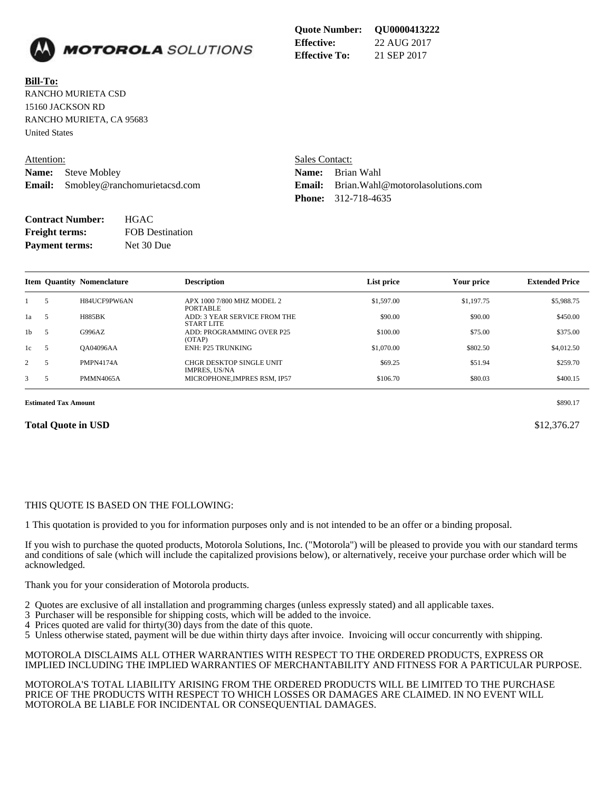

**Bill-To:** RANCHO MURIETA CSD 15160 JACKSON RD RANCHO MURIETA, CA 95683 United States

| Attention: |                                          |  |  |
|------------|------------------------------------------|--|--|
|            | <b>Name:</b> Steve Mobley                |  |  |
|            | <b>Email:</b> Smobley@ranchomurietacsd.c |  |  |

Sales Contact: **Name:** Brian Wahl **Email:** Smobley@ranchomurietacsd.com **Email:** Brian.Wahl@motorolasolutions.com **Phone:** 312-718-4635

| <b>Contract Number:</b> | <b>HGAC</b>            |
|-------------------------|------------------------|
| <b>Freight terms:</b>   | <b>FOB</b> Destination |
| <b>Payment terms:</b>   | Net 30 Due             |

|    | 1 и уписни истинов<br>1100,000 |                                   |                                                         |            |            |                       |  |  |
|----|--------------------------------|-----------------------------------|---------------------------------------------------------|------------|------------|-----------------------|--|--|
|    |                                | <b>Item Quantity Nomenclature</b> | <b>Description</b>                                      | List price | Your price | <b>Extended Price</b> |  |  |
|    | .5                             | H84UCF9PW6AN                      | APX 1000 7/800 MHZ MODEL 2<br>PORTABLE                  | \$1,597.00 | \$1,197.75 | \$5,988.75            |  |  |
| 1a | - 5                            | <b>H885BK</b>                     | ADD: 3 YEAR SERVICE FROM THE<br><b>START LITE</b>       | \$90.00    | \$90.00    | \$450.00              |  |  |
| 1b | -5                             | G996AZ                            | ADD: PROGRAMMING OVER P25<br>(OTAP)                     | \$100.00   | \$75.00    | \$375.00              |  |  |
| 1c |                                | <b>QA04096AA</b>                  | <b>ENH: P25 TRUNKING</b>                                | \$1,070.00 | \$802.50   | \$4,012.50            |  |  |
|    | 5                              | <b>PMPN4174A</b>                  | <b>CHGR DESKTOP SINGLE UNIT</b><br><b>IMPRES, US/NA</b> | \$69.25    | \$51.94    | \$259.70              |  |  |

3 5 PMMN4065A MICROPHONE, IMPRES RSM, IP57 \$106.70 \$80.03 \$400.15

**Estimated Tax Amount** \$890.17

#### **Total Quote in USD** \$12,376.27

#### THIS QUOTE IS BASED ON THE FOLLOWING:

1 This quotation is provided to you for information purposes only and is not intended to be an offer or a binding proposal.

If you wish to purchase the quoted products, Motorola Solutions, Inc. ("Motorola") will be pleased to provide you with our standard terms and conditions of sale (which will include the capitalized provisions below), or alternatively, receive your purchase order which will be acknowledged.

Thank you for your consideration of Motorola products.

- 2 Quotes are exclusive of all installation and programming charges (unless expressly stated) and all applicable taxes.
- 3 Purchaser will be responsible for shipping costs, which will be added to the invoice.
- 4 Prices quoted are valid for thirty $(30)$  days from the date of this quote.
- 5 Unless otherwise stated, payment will be due within thirty days after invoice. Invoicing will occur concurrently with shipping.

MOTOROLA DISCLAIMS ALL OTHER WARRANTIES WITH RESPECT TO THE ORDERED PRODUCTS, EXPRESS OR IMPLIED INCLUDING THE IMPLIED WARRANTIES OF MERCHANTABILITY AND FITNESS FOR A PARTICULAR PURPOSE.

MOTOROLA'S TOTAL LIABILITY ARISING FROM THE ORDERED PRODUCTS WILL BE LIMITED TO THE PURCHASE PRICE OF THE PRODUCTS WITH RESPECT TO WHICH LOSSES OR DAMAGES ARE CLAIMED. IN NO EVENT WILL MOTOROLA BE LIABLE FOR INCIDENTAL OR CONSEQUENTIAL DAMAGES.

**Quote Number: QU0000413222 Effective:** 22 AUG 2017 **Effective To:** 21 SEP 2017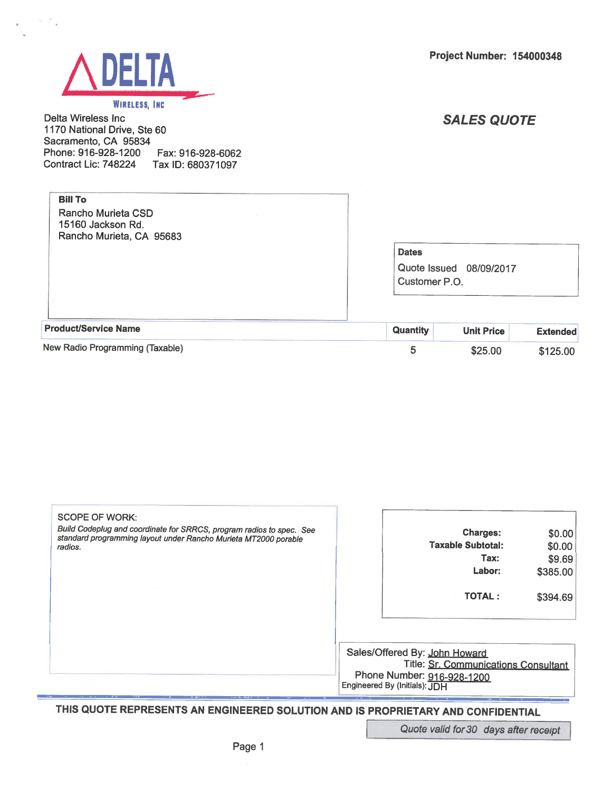



#### WIRELESS, INC.

Delta Wireless Inc 1170 National Drive, Ste 60 Sacramento, CA 95834 Phone: 916-928-1200 Fax: 916-928-6062 Contract Lic: 748224 Tax ID: 680371097

## **SALES QUOTE**

\$25.00

\$125.00

| <b>Bill To</b><br>Rancho Murieta CSD<br>15160 Jackson Rd.<br>Rancho Murieta, CA 95683 |                               |                         |                 |
|---------------------------------------------------------------------------------------|-------------------------------|-------------------------|-----------------|
|                                                                                       | <b>Dates</b><br>Customer P.O. | Quote Issued 08/09/2017 |                 |
| <b>Product/Service Name</b>                                                           | Quantity                      | <b>Unit Price</b>       | <b>Extended</b> |

5

|  |  |  |  |  | New Radio Programming (Taxable) |  |
|--|--|--|--|--|---------------------------------|--|
|--|--|--|--|--|---------------------------------|--|

| SCOPE OF WORK:                                                                                                                          |                                                                                                                                      |          |
|-----------------------------------------------------------------------------------------------------------------------------------------|--------------------------------------------------------------------------------------------------------------------------------------|----------|
| Build Codeplug and coordinate for SRRCS, program radios to spec. See<br>standard programming layout under Rancho Murieta MT2000 porable | <b>Charges:</b>                                                                                                                      | \$0.00   |
| radios.                                                                                                                                 | <b>Taxable Subtotal:</b>                                                                                                             | \$0.00   |
|                                                                                                                                         | Tax:                                                                                                                                 | \$9.69   |
|                                                                                                                                         | Labor:                                                                                                                               | \$385.00 |
|                                                                                                                                         | <b>TOTAL:</b>                                                                                                                        | \$394.69 |
|                                                                                                                                         | Sales/Offered By: John Howard<br>Title: Sr. Communications Consultant<br>Phone Number: 916-928-1200<br>Engineered By (Initials): JDH |          |

THIS QUOTE REPRESENTS AN ENGINEERED SOLUTION AND IS PROPRIETARY AND CONFIDENTIAL

Quote valid for 30 days after receipt